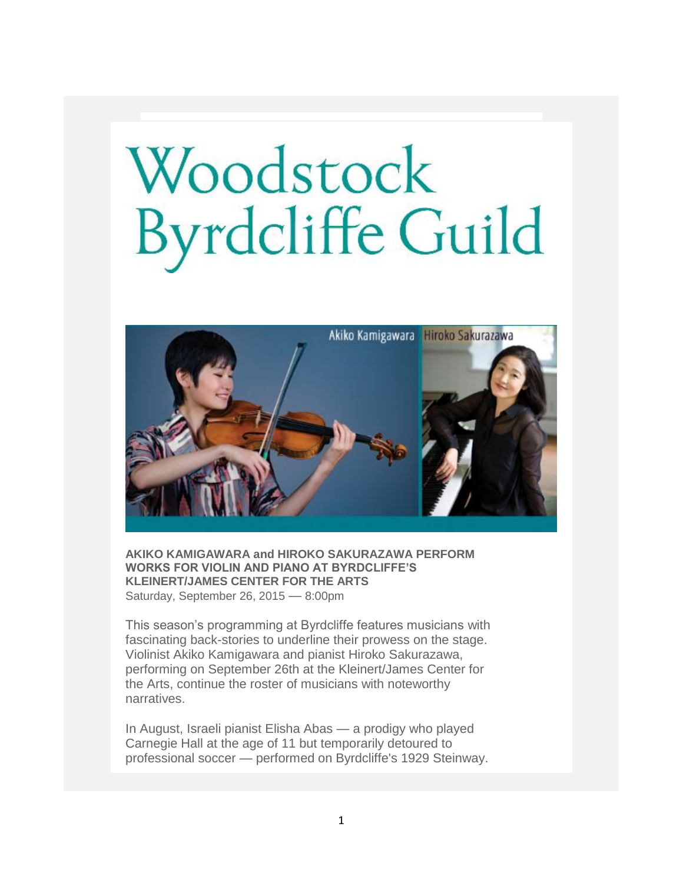## Woodstock<br>Byrdcliffe Guild



**AKIKO KAMIGAWARA and HIROKO SAKURAZAWA PERFORM WORKS FOR VIOLIN AND PIANO AT BYRDCLIFFE'S KLEINERT/JAMES CENTER FOR THE ARTS** Saturday, September 26, 2015 — 8:00pm

This season's programming at Byrdcliffe features musicians with fascinating back-stories to underline their prowess on the stage. Violinist Akiko Kamigawara and pianist Hiroko Sakurazawa, performing on September 26th at the Kleinert/James Center for the Arts, continue the roster of musicians with noteworthy narratives.

In August, Israeli pianist Elisha Abas — a prodigy who played Carnegie Hall at the age of 11 but temporarily detoured to professional soccer — performed on Byrdcliffe's 1929 Steinway.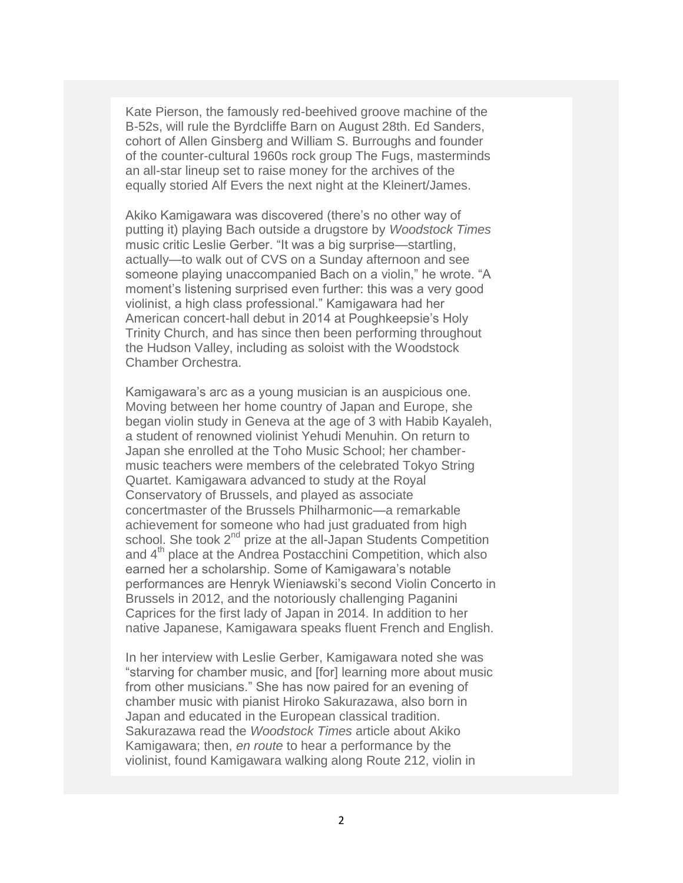Kate Pierson, the famously red-beehived groove machine of the B-52s, will rule the Byrdcliffe Barn on August 28th. Ed Sanders, cohort of Allen Ginsberg and William S. Burroughs and founder of the counter-cultural 1960s rock group The Fugs, masterminds an all-star lineup set to raise money for the archives of the equally storied Alf Evers the next night at the Kleinert/James.

Akiko Kamigawara was discovered (there's no other way of putting it) playing Bach outside a drugstore by *Woodstock Times* music critic Leslie Gerber. "It was a big surprise—startling, actually—to walk out of CVS on a Sunday afternoon and see someone playing unaccompanied Bach on a violin," he wrote. "A moment's listening surprised even further: this was a very good violinist, a high class professional." Kamigawara had her American concert-hall debut in 2014 at Poughkeepsie's Holy Trinity Church, and has since then been performing throughout the Hudson Valley, including as soloist with the Woodstock Chamber Orchestra.

Kamigawara's arc as a young musician is an auspicious one. Moving between her home country of Japan and Europe, she began violin study in Geneva at the age of 3 with Habib Kayaleh, a student of renowned violinist Yehudi Menuhin. On return to Japan she enrolled at the Toho Music School; her chambermusic teachers were members of the celebrated Tokyo String Quartet. Kamigawara advanced to study at the Royal Conservatory of Brussels, and played as associate concertmaster of the Brussels Philharmonic—a remarkable achievement for someone who had just graduated from high school. She took 2<sup>nd</sup> prize at the all-Japan Students Competition and 4<sup>th</sup> place at the Andrea Postacchini Competition, which also earned her a scholarship. Some of Kamigawara's notable performances are Henryk Wieniawski's second Violin Concerto in Brussels in 2012, and the notoriously challenging Paganini Caprices for the first lady of Japan in 2014. In addition to her native Japanese, Kamigawara speaks fluent French and English.

In her interview with Leslie Gerber, Kamigawara noted she was "starving for chamber music, and [for] learning more about music from other musicians." She has now paired for an evening of chamber music with pianist Hiroko Sakurazawa, also born in Japan and educated in the European classical tradition. Sakurazawa read the *Woodstock Times* article about Akiko Kamigawara; then, *en route* to hear a performance by the violinist, found Kamigawara walking along Route 212, violin in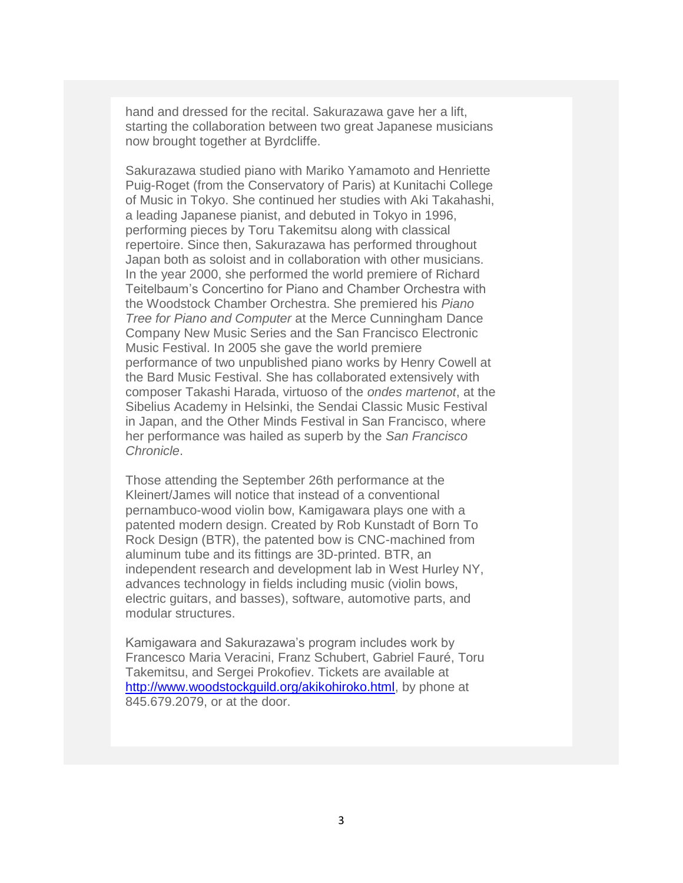hand and dressed for the recital. Sakurazawa gave her a lift, starting the collaboration between two great Japanese musicians now brought together at Byrdcliffe.

Sakurazawa studied piano with Mariko Yamamoto and Henriette Puig-Roget (from the Conservatory of Paris) at Kunitachi College of Music in Tokyo. She continued her studies with Aki Takahashi, a leading Japanese pianist, and debuted in Tokyo in 1996, performing pieces by Toru Takemitsu along with classical repertoire. Since then, Sakurazawa has performed throughout Japan both as soloist and in collaboration with other musicians. In the year 2000, she performed the world premiere of Richard Teitelbaum's Concertino for Piano and Chamber Orchestra with the Woodstock Chamber Orchestra. She premiered his *Piano Tree for Piano and Computer* at the Merce Cunningham Dance Company New Music Series and the San Francisco Electronic Music Festival. In 2005 she gave the world premiere performance of two unpublished piano works by Henry Cowell at the Bard Music Festival. She has collaborated extensively with composer Takashi Harada, virtuoso of the *ondes martenot*, at the Sibelius Academy in Helsinki, the Sendai Classic Music Festival in Japan, and the Other Minds Festival in San Francisco, where her performance was hailed as superb by the *San Francisco Chronicle*.

Those attending the September 26th performance at the Kleinert/James will notice that instead of a conventional pernambuco-wood violin bow, Kamigawara plays one with a patented modern design. Created by Rob Kunstadt of Born To Rock Design (BTR), the patented bow is CNC-machined from aluminum tube and its fittings are 3D-printed. BTR, an independent research and development lab in West Hurley NY, advances technology in fields including music (violin bows, electric guitars, and basses), software, automotive parts, and modular structures.

Kamigawara and Sakurazawa's program includes work by Francesco Maria Veracini, Franz Schubert, Gabriel Fauré, Toru Takemitsu, and Sergei Prokofiev. Tickets are available at [http://www.woodstockguild.org/akikohiroko.html,](http://www.woodstockguild.org/akikohiroko.html) by phone at 845.679.2079, or at the door.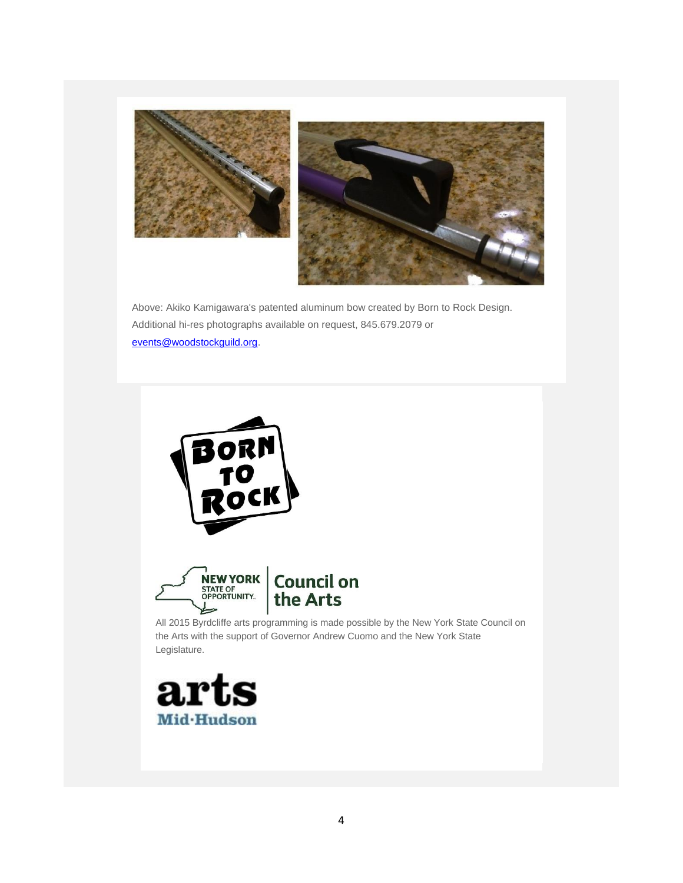

Above: Akiko Kamigawara's patented aluminum bow created by Born to Rock Design. Additional hi-res photographs available on request, 845.679.2079 or [events@woodstockguild.org.](mailto:events@woodstockguild.org)



All 2015 Byrdcliffe arts programming is made possible by the New York State Council on the Arts with the support of Governor Andrew Cuomo and the New York State Legislature.